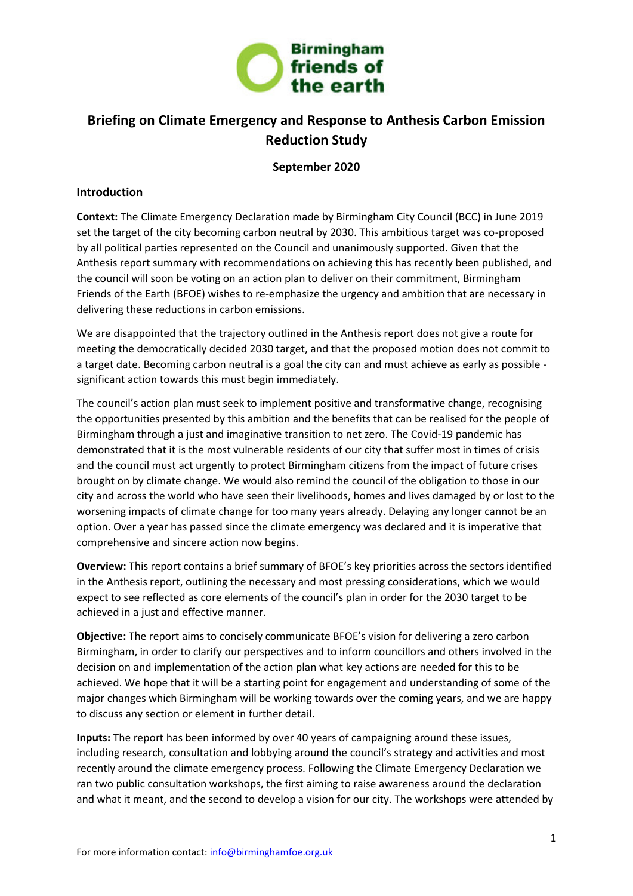

## **September 2020**

#### **Introduction**

**Context:** The Climate Emergency Declaration made by Birmingham City Council (BCC) in June 2019 set the target of the city becoming carbon neutral by 2030. This ambitious target was co-proposed by all political parties represented on the Council and unanimously supported. Given that the Anthesis report summary with recommendations on achieving this has recently been published, and the council will soon be voting on an action plan to deliver on their commitment, Birmingham Friends of the Earth (BFOE) wishes to re-emphasize the urgency and ambition that are necessary in delivering these reductions in carbon emissions.

We are disappointed that the trajectory outlined in the Anthesis report does not give a route for meeting the democratically decided 2030 target, and that the proposed motion does not commit to a target date. Becoming carbon neutral is a goal the city can and must achieve as early as possible significant action towards this must begin immediately.

The council's action plan must seek to implement positive and transformative change, recognising the opportunities presented by this ambition and the benefits that can be realised for the people of Birmingham through a just and imaginative transition to net zero. The Covid-19 pandemic has demonstrated that it is the most vulnerable residents of our city that suffer most in times of crisis and the council must act urgently to protect Birmingham citizens from the impact of future crises brought on by climate change. We would also remind the council of the obligation to those in our city and across the world who have seen their livelihoods, homes and lives damaged by or lost to the worsening impacts of climate change for too many years already. Delaying any longer cannot be an option. Over a year has passed since the climate emergency was declared and it is imperative that comprehensive and sincere action now begins.

**Overview:** This report contains a brief summary of BFOE's key priorities across the sectors identified in the Anthesis report, outlining the necessary and most pressing considerations, which we would expect to see reflected as core elements of the council's plan in order for the 2030 target to be achieved in a just and effective manner.

**Objective:** The report aims to concisely communicate BFOE's vision for delivering a zero carbon Birmingham, in order to clarify our perspectives and to inform councillors and others involved in the decision on and implementation of the action plan what key actions are needed for this to be achieved. We hope that it will be a starting point for engagement and understanding of some of the major changes which Birmingham will be working towards over the coming years, and we are happy to discuss any section or element in further detail.

**Inputs:** The report has been informed by over 40 years of campaigning around these issues, including research, consultation and lobbying around the council's strategy and activities and most recently around the climate emergency process. Following the Climate Emergency Declaration we ran two public consultation workshops, the first aiming to raise awareness around the declaration and what it meant, and the second to develop a vision for our city. The workshops were attended by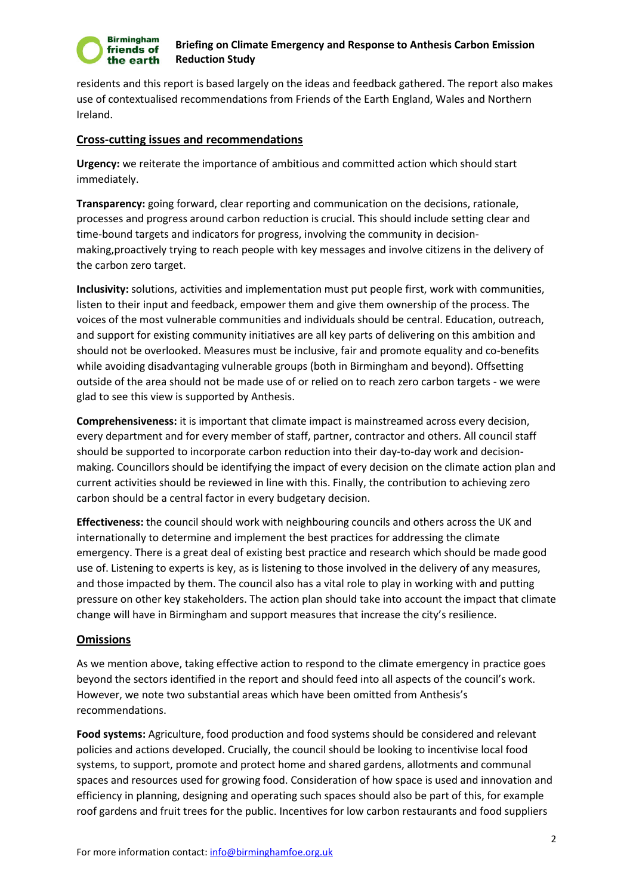

residents and this report is based largely on the ideas and feedback gathered. The report also makes use of contextualised recommendations from Friends of the Earth England, Wales and Northern Ireland.

#### **Cross-cutting issues and recommendations**

**Urgency:** we reiterate the importance of ambitious and committed action which should start immediately.

**Transparency:** going forward, clear reporting and communication on the decisions, rationale, processes and progress around carbon reduction is crucial. This should include setting clear and time-bound targets and indicators for progress, involving the community in decisionmaking,proactively trying to reach people with key messages and involve citizens in the delivery of the carbon zero target.

**Inclusivity:** solutions, activities and implementation must put people first, work with communities, listen to their input and feedback, empower them and give them ownership of the process. The voices of the most vulnerable communities and individuals should be central. Education, outreach, and support for existing community initiatives are all key parts of delivering on this ambition and should not be overlooked. Measures must be inclusive, fair and promote equality and co-benefits while avoiding disadvantaging vulnerable groups (both in Birmingham and beyond). Offsetting outside of the area should not be made use of or relied on to reach zero carbon targets - we were glad to see this view is supported by Anthesis.

**Comprehensiveness:** it is important that climate impact is mainstreamed across every decision, every department and for every member of staff, partner, contractor and others. All council staff should be supported to incorporate carbon reduction into their day-to-day work and decisionmaking. Councillors should be identifying the impact of every decision on the climate action plan and current activities should be reviewed in line with this. Finally, the contribution to achieving zero carbon should be a central factor in every budgetary decision.

**Effectiveness:** the council should work with neighbouring councils and others across the UK and internationally to determine and implement the best practices for addressing the climate emergency. There is a great deal of existing best practice and research which should be made good use of. Listening to experts is key, as is listening to those involved in the delivery of any measures, and those impacted by them. The council also has a vital role to play in working with and putting pressure on other key stakeholders. The action plan should take into account the impact that climate change will have in Birmingham and support measures that increase the city's resilience.

#### **Omissions**

As we mention above, taking effective action to respond to the climate emergency in practice goes beyond the sectors identified in the report and should feed into all aspects of the council's work. However, we note two substantial areas which have been omitted from Anthesis's recommendations.

**Food systems:** Agriculture, food production and food systems should be considered and relevant policies and actions developed. Crucially, the council should be looking to incentivise local food systems, to support, promote and protect home and shared gardens, allotments and communal spaces and resources used for growing food. Consideration of how space is used and innovation and efficiency in planning, designing and operating such spaces should also be part of this, for example roof gardens and fruit trees for the public. Incentives for low carbon restaurants and food suppliers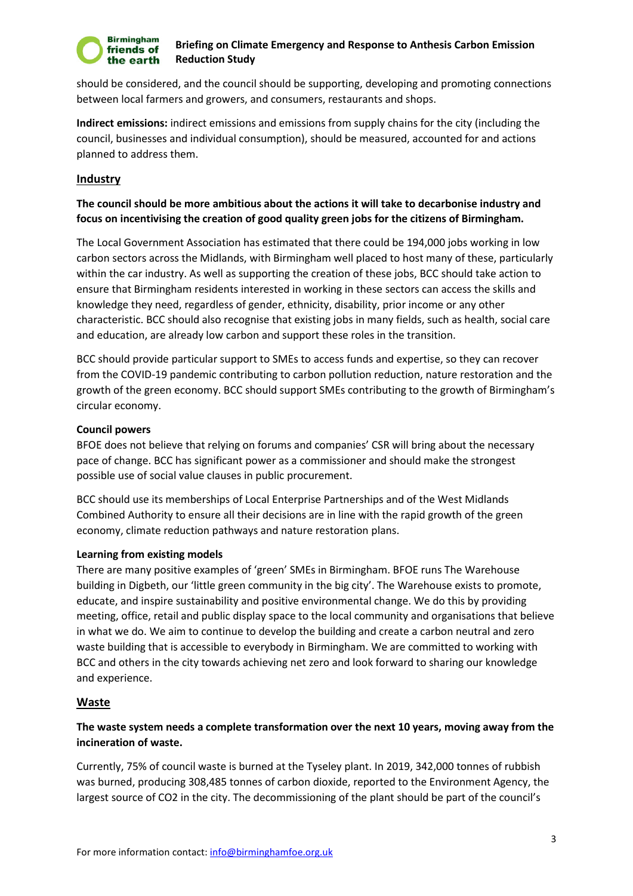

should be considered, and the council should be supporting, developing and promoting connections between local farmers and growers, and consumers, restaurants and shops.

**Indirect emissions:** indirect emissions and emissions from supply chains for the city (including the council, businesses and individual consumption), should be measured, accounted for and actions planned to address them.

## **Industry**

# **The council should be more ambitious about the actions it will take to decarbonise industry and focus on incentivising the creation of good quality green jobs for the citizens of Birmingham.**

The Local Government Association has estimated that there could be 194,000 jobs working in low carbon sectors across the Midlands, with Birmingham well placed to host many of these, particularly within the car industry. As well as supporting the creation of these jobs, BCC should take action to ensure that Birmingham residents interested in working in these sectors can access the skills and knowledge they need, regardless of gender, ethnicity, disability, prior income or any other characteristic. BCC should also recognise that existing jobs in many fields, such as health, social care and education, are already low carbon and support these roles in the transition.

BCC should provide particular support to SMEs to access funds and expertise, so they can recover from the COVID-19 pandemic contributing to carbon pollution reduction, nature restoration and the growth of the green economy. BCC should support SMEs contributing to the growth of Birmingham's circular economy.

#### **Council powers**

BFOE does not believe that relying on forums and companies' CSR will bring about the necessary pace of change. BCC has significant power as a commissioner and should make the strongest possible use of social value clauses in public procurement.

BCC should use its memberships of Local Enterprise Partnerships and of the West Midlands Combined Authority to ensure all their decisions are in line with the rapid growth of the green economy, climate reduction pathways and nature restoration plans.

## **Learning from existing models**

There are many positive examples of 'green' SMEs in Birmingham. BFOE runs The Warehouse building in Digbeth, our 'little green community in the big city'. The Warehouse exists to promote, educate, and inspire sustainability and positive environmental change. We do this by providing meeting, office, retail and public display space to the local community and organisations that believe in what we do. We aim to continue to develop the building and create a carbon neutral and zero waste building that is accessible to everybody in Birmingham. We are committed to working with BCC and others in the city towards achieving net zero and look forward to sharing our knowledge and experience.

## **Waste**

# **The waste system needs a complete transformation over the next 10 years, moving away from the incineration of waste.**

Currently, 75% of council waste is burned at the Tyseley plant. In 2019, 342,000 tonnes of rubbish was burned, producing 308,485 tonnes of carbon dioxide, reported to the Environment Agency, the largest source of CO2 in the city. The decommissioning of the plant should be part of the council's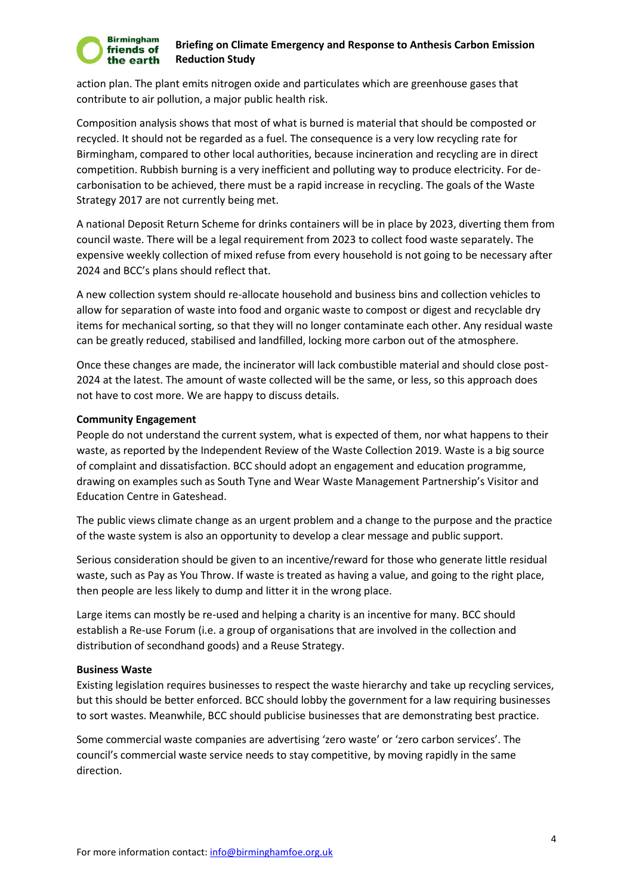#### **Birmingham** friends of the earth

#### **Briefing on Climate Emergency and Response to Anthesis Carbon Emission Reduction Study**

action plan. The plant emits nitrogen oxide and particulates which are greenhouse gases that contribute to air pollution, a major public health risk.

Composition analysis shows that most of what is burned is material that should be composted or recycled. It should not be regarded as a fuel. The consequence is a very low recycling rate for Birmingham, compared to other local authorities, because incineration and recycling are in direct competition. Rubbish burning is a very inefficient and polluting way to produce electricity. For decarbonisation to be achieved, there must be a rapid increase in recycling. The goals of the Waste Strategy 2017 are not currently being met.

A national Deposit Return Scheme for drinks containers will be in place by 2023, diverting them from council waste. There will be a legal requirement from 2023 to collect food waste separately. The expensive weekly collection of mixed refuse from every household is not going to be necessary after 2024 and BCC's plans should reflect that.

A new collection system should re-allocate household and business bins and collection vehicles to allow for separation of waste into food and organic waste to compost or digest and recyclable dry items for mechanical sorting, so that they will no longer contaminate each other. Any residual waste can be greatly reduced, stabilised and landfilled, locking more carbon out of the atmosphere.

Once these changes are made, the incinerator will lack combustible material and should close post-2024 at the latest. The amount of waste collected will be the same, or less, so this approach does not have to cost more. We are happy to discuss details.

#### **Community Engagement**

People do not understand the current system, what is expected of them, nor what happens to their waste, as reported by the Independent Review of the Waste Collection 2019. Waste is a big source of complaint and dissatisfaction. BCC should adopt an engagement and education programme, drawing on examples such as South Tyne and Wear Waste Management Partnership's Visitor and Education Centre in Gateshead.

The public views climate change as an urgent problem and a change to the purpose and the practice of the waste system is also an opportunity to develop a clear message and public support.

Serious consideration should be given to an incentive/reward for those who generate little residual waste, such as Pay as You Throw. If waste is treated as having a value, and going to the right place, then people are less likely to dump and litter it in the wrong place.

Large items can mostly be re-used and helping a charity is an incentive for many. BCC should establish a Re-use Forum (i.e. a group of organisations that are involved in the collection and distribution of secondhand goods) and a Reuse Strategy.

#### **Business Waste**

Existing legislation requires businesses to respect the waste hierarchy and take up recycling services, but this should be better enforced. BCC should lobby the government for a law requiring businesses to sort wastes. Meanwhile, BCC should publicise businesses that are demonstrating best practice.

Some commercial waste companies are advertising 'zero waste' or 'zero carbon services'. The council's commercial waste service needs to stay competitive, by moving rapidly in the same direction.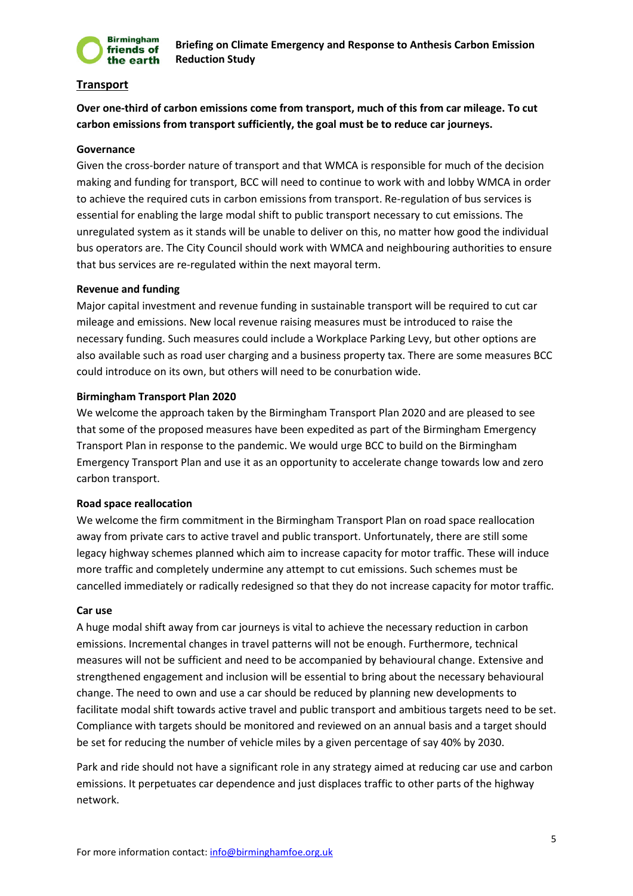

# **Transport**

**Over one-third of carbon emissions come from transport, much of this from car mileage. To cut carbon emissions from transport sufficiently, the goal must be to reduce car journeys.** 

#### **Governance**

Given the cross-border nature of transport and that WMCA is responsible for much of the decision making and funding for transport, BCC will need to continue to work with and lobby WMCA in order to achieve the required cuts in carbon emissions from transport. Re-regulation of bus services is essential for enabling the large modal shift to public transport necessary to cut emissions. The unregulated system as it stands will be unable to deliver on this, no matter how good the individual bus operators are. The City Council should work with WMCA and neighbouring authorities to ensure that bus services are re-regulated within the next mayoral term.

#### **Revenue and funding**

Major capital investment and revenue funding in sustainable transport will be required to cut car mileage and emissions. New local revenue raising measures must be introduced to raise the necessary funding. Such measures could include a Workplace Parking Levy, but other options are also available such as road user charging and a business property tax. There are some measures BCC could introduce on its own, but others will need to be conurbation wide.

#### **Birmingham Transport Plan 2020**

We welcome the approach taken by the Birmingham Transport Plan 2020 and are pleased to see that some of the proposed measures have been expedited as part of the Birmingham Emergency Transport Plan in response to the pandemic. We would urge BCC to build on the Birmingham Emergency Transport Plan and use it as an opportunity to accelerate change towards low and zero carbon transport.

#### **Road space reallocation**

We welcome the firm commitment in the Birmingham Transport Plan on road space reallocation away from private cars to active travel and public transport. Unfortunately, there are still some legacy highway schemes planned which aim to increase capacity for motor traffic. These will induce more traffic and completely undermine any attempt to cut emissions. Such schemes must be cancelled immediately or radically redesigned so that they do not increase capacity for motor traffic.

#### **Car use**

A huge modal shift away from car journeys is vital to achieve the necessary reduction in carbon emissions. Incremental changes in travel patterns will not be enough. Furthermore, technical measures will not be sufficient and need to be accompanied by behavioural change. Extensive and strengthened engagement and inclusion will be essential to bring about the necessary behavioural change. The need to own and use a car should be reduced by planning new developments to facilitate modal shift towards active travel and public transport and ambitious targets need to be set. Compliance with targets should be monitored and reviewed on an annual basis and a target should be set for reducing the number of vehicle miles by a given percentage of say 40% by 2030.

Park and ride should not have a significant role in any strategy aimed at reducing car use and carbon emissions. It perpetuates car dependence and just displaces traffic to other parts of the highway network.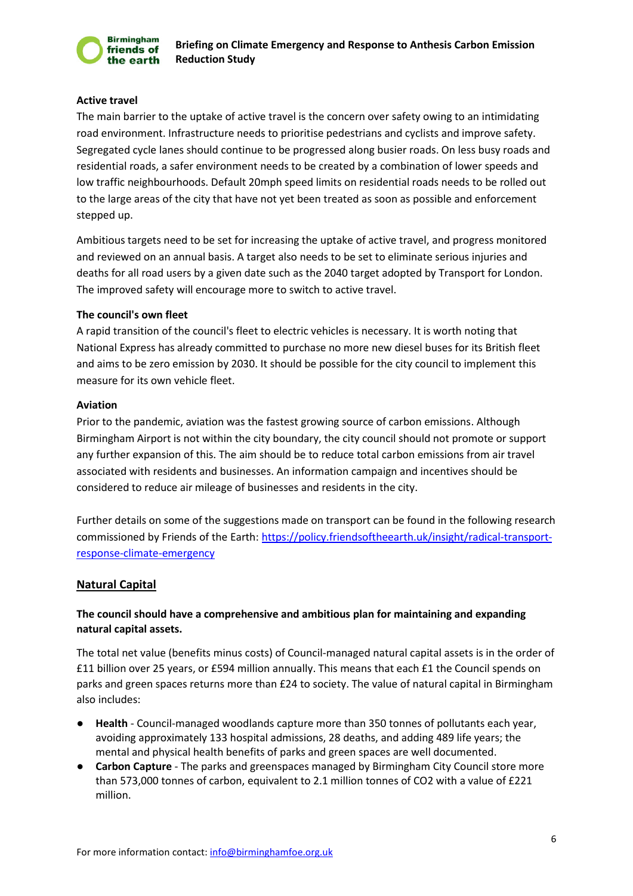

#### **Active travel**

The main barrier to the uptake of active travel is the concern over safety owing to an intimidating road environment. Infrastructure needs to prioritise pedestrians and cyclists and improve safety. Segregated cycle lanes should continue to be progressed along busier roads. On less busy roads and residential roads, a safer environment needs to be created by a combination of lower speeds and low traffic neighbourhoods. Default 20mph speed limits on residential roads needs to be rolled out to the large areas of the city that have not yet been treated as soon as possible and enforcement stepped up.

Ambitious targets need to be set for increasing the uptake of active travel, and progress monitored and reviewed on an annual basis. A target also needs to be set to eliminate serious injuries and deaths for all road users by a given date such as the 2040 target adopted by Transport for London. The improved safety will encourage more to switch to active travel.

#### **The council's own fleet**

A rapid transition of the council's fleet to electric vehicles is necessary. It is worth noting that National Express has already committed to purchase no more new diesel buses for its British fleet and aims to be zero emission by 2030. It should be possible for the city council to implement this measure for its own vehicle fleet.

#### **Aviation**

Prior to the pandemic, aviation was the fastest growing source of carbon emissions. Although Birmingham Airport is not within the city boundary, the city council should not promote or support any further expansion of this. The aim should be to reduce total carbon emissions from air travel associated with residents and businesses. An information campaign and incentives should be considered to reduce air mileage of businesses and residents in the city.

Further details on some of the suggestions made on transport can be found in the following research commissioned by Friends of the Earth: [https://policy.friendsoftheearth.uk/insight/radical-transport](https://policy.friendsoftheearth.uk/insight/radical-transport-response-climate-emergency)[response-climate-emergency](https://policy.friendsoftheearth.uk/insight/radical-transport-response-climate-emergency)

## **Natural Capital**

# **The council should have a comprehensive and ambitious plan for maintaining and expanding natural capital assets.**

The total net value (benefits minus costs) of Council-managed natural capital assets is in the order of £11 billion over 25 years, or £594 million annually. This means that each £1 the Council spends on parks and green spaces returns more than £24 to society. The value of natural capital in Birmingham also includes:

- Health Council-managed woodlands capture more than 350 tonnes of pollutants each year, avoiding approximately 133 hospital admissions, 28 deaths, and adding 489 life years; the mental and physical health benefits of parks and green spaces are well documented.
- **Carbon Capture**  The parks and greenspaces managed by Birmingham City Council store more than 573,000 tonnes of carbon, equivalent to 2.1 million tonnes of CO2 with a value of £221 million.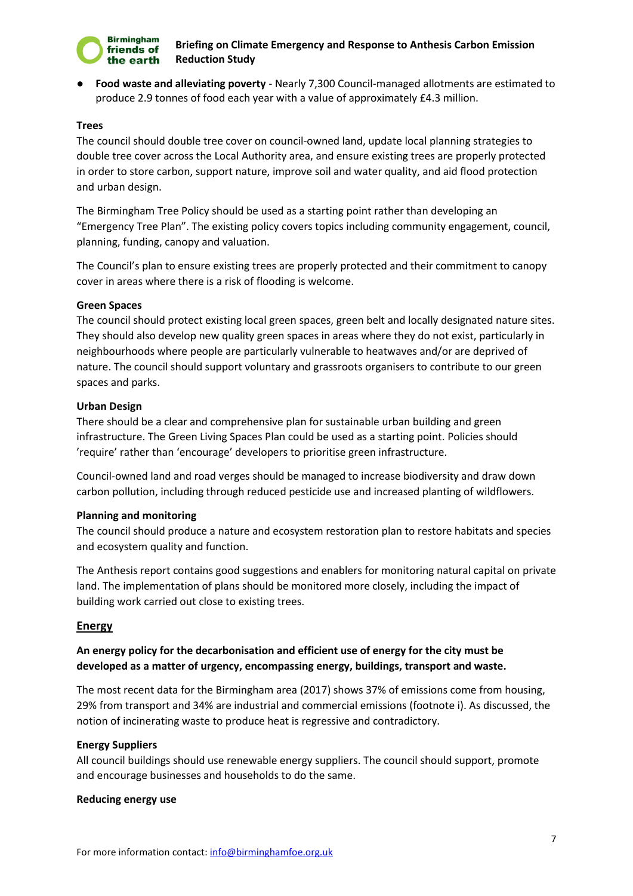

● **Food waste and alleviating poverty** - Nearly 7,300 Council-managed allotments are estimated to produce 2.9 tonnes of food each year with a value of approximately £4.3 million.

#### **Trees**

The council should double tree cover on council-owned land, update local planning strategies to double tree cover across the Local Authority area, and ensure existing trees are properly protected in order to store carbon, support nature, improve soil and water quality, and aid flood protection and urban design.

The Birmingham Tree Policy should be used as a starting point rather than developing an "Emergency Tree Plan". The existing policy covers topics including community engagement, council, planning, funding, canopy and valuation.

The Council's plan to ensure existing trees are properly protected and their commitment to canopy cover in areas where there is a risk of flooding is welcome.

#### **Green Spaces**

The council should protect existing local green spaces, green belt and locally designated nature sites. They should also develop new quality green spaces in areas where they do not exist, particularly in neighbourhoods where people are particularly vulnerable to heatwaves and/or are deprived of nature. The council should support voluntary and grassroots organisers to contribute to our green spaces and parks.

#### **Urban Design**

There should be a clear and comprehensive plan for sustainable urban building and green infrastructure. The Green Living Spaces Plan could be used as a starting point. Policies should 'require' rather than 'encourage' developers to prioritise green infrastructure.

Council-owned land and road verges should be managed to increase biodiversity and draw down carbon pollution, including through reduced pesticide use and increased planting of wildflowers.

#### **Planning and monitoring**

The council should produce a nature and ecosystem restoration plan to restore habitats and species and ecosystem quality and function.

The Anthesis report contains good suggestions and enablers for monitoring natural capital on private land. The implementation of plans should be monitored more closely, including the impact of building work carried out close to existing trees.

#### **Energy**

# **An energy policy for the decarbonisation and efficient use of energy for the city must be developed as a matter of urgency, encompassing energy, buildings, transport and waste.**

The most recent data for the Birmingham area (2017) shows 37% of emissions come from housing, 29% from transport and 34% are industrial and commercial emissions (footnote i). As discussed, the notion of incinerating waste to produce heat is regressive and contradictory.

#### **Energy Suppliers**

All council buildings should use renewable energy suppliers. The council should support, promote and encourage businesses and households to do the same.

#### **Reducing energy use**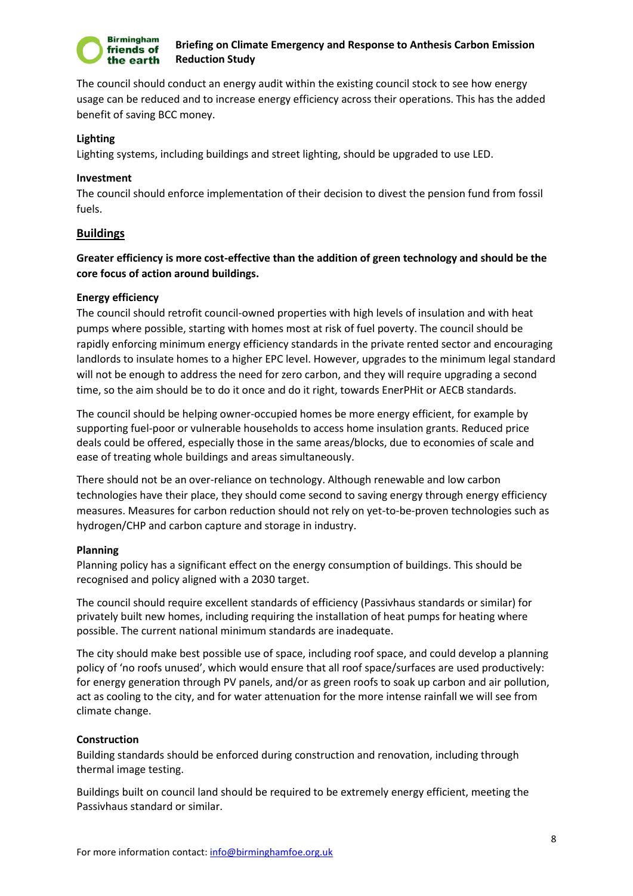

The council should conduct an energy audit within the existing council stock to see how energy usage can be reduced and to increase energy efficiency across their operations. This has the added benefit of saving BCC money.

#### **Lighting**

Lighting systems, including buildings and street lighting, should be upgraded to use LED.

#### **Investment**

The council should enforce implementation of their decision to divest the pension fund from fossil fuels.

## **Buildings**

# **Greater efficiency is more cost-effective than the addition of green technology and should be the core focus of action around buildings.**

#### **Energy efficiency**

The council should retrofit council-owned properties with high levels of insulation and with heat pumps where possible, starting with homes most at risk of fuel poverty. The council should be rapidly enforcing minimum energy efficiency standards in the private rented sector and encouraging landlords to insulate homes to a higher EPC level. However, upgrades to the minimum legal standard will not be enough to address the need for zero carbon, and they will require upgrading a second time, so the aim should be to do it once and do it right, towards EnerPHit or AECB standards.

The council should be helping owner-occupied homes be more energy efficient, for example by supporting fuel-poor or vulnerable households to access home insulation grants. Reduced price deals could be offered, especially those in the same areas/blocks, due to economies of scale and ease of treating whole buildings and areas simultaneously.

There should not be an over-reliance on technology. Although renewable and low carbon technologies have their place, they should come second to saving energy through energy efficiency measures. Measures for carbon reduction should not rely on yet-to-be-proven technologies such as hydrogen/CHP and carbon capture and storage in industry.

#### **Planning**

Planning policy has a significant effect on the energy consumption of buildings. This should be recognised and policy aligned with a 2030 target.

The council should require excellent standards of efficiency (Passivhaus standards or similar) for privately built new homes, including requiring the installation of heat pumps for heating where possible. The current national minimum standards are inadequate.

The city should make best possible use of space, including roof space, and could develop a planning policy of 'no roofs unused', which would ensure that all roof space/surfaces are used productively: for energy generation through PV panels, and/or as green roofs to soak up carbon and air pollution, act as cooling to the city, and for water attenuation for the more intense rainfall we will see from climate change.

## **Construction**

Building standards should be enforced during construction and renovation, including through thermal image testing.

Buildings built on council land should be required to be extremely energy efficient, meeting the Passivhaus standard or similar.